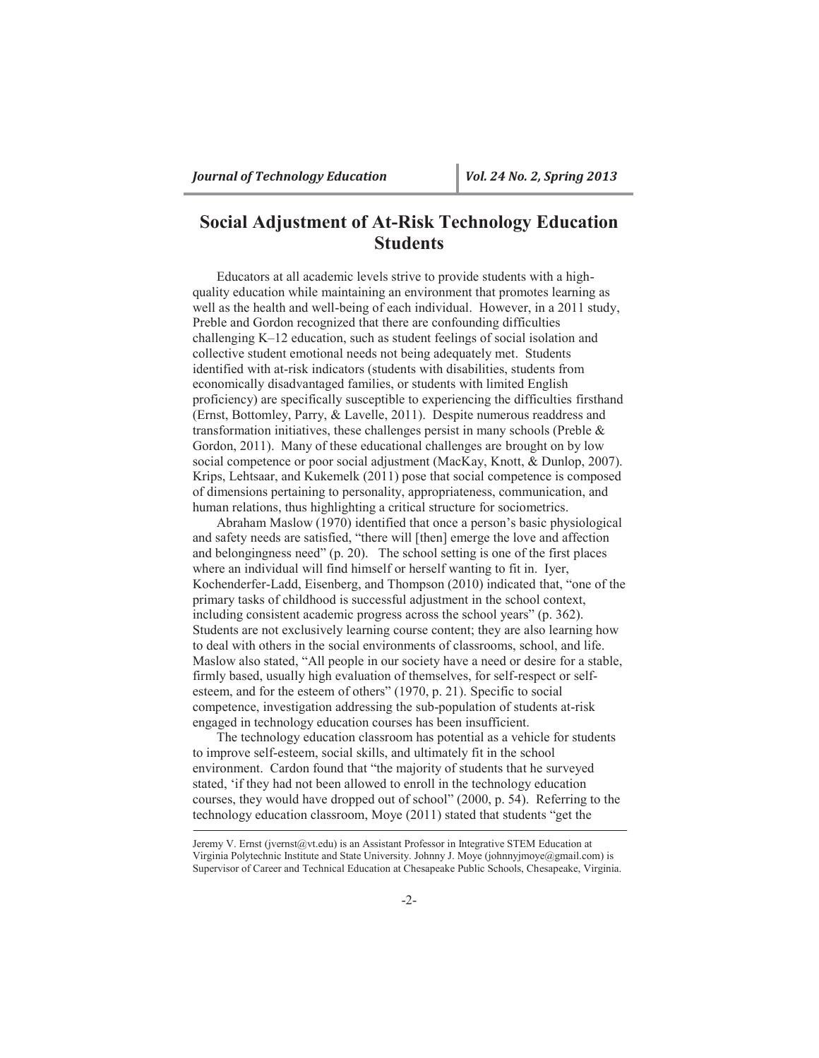# **Social Adjustment of At-Risk Technology Education Students**

Educators at all academic levels strive to provide students with a highquality education while maintaining an environment that promotes learning as well as the health and well-being of each individual. However, in a 2011 study, Preble and Gordon recognized that there are confounding difficulties challenging K–12 education, such as student feelings of social isolation and collective student emotional needs not being adequately met. Students identified with at-risk indicators (students with disabilities, students from economically disadvantaged families, or students with limited English proficiency) are specifically susceptible to experiencing the difficulties firsthand (Ernst, Bottomley, Parry, & Lavelle, 2011). Despite numerous readdress and transformation initiatives, these challenges persist in many schools (Preble  $\&$ Gordon, 2011). Many of these educational challenges are brought on by low social competence or poor social adjustment (MacKay, Knott, & Dunlop, 2007). Krips, Lehtsaar, and Kukemelk (2011) pose that social competence is composed of dimensions pertaining to personality, appropriateness, communication, and human relations, thus highlighting a critical structure for sociometrics.

Abraham Maslow (1970) identified that once a person's basic physiological and safety needs are satisfied, "there will [then] emerge the love and affection and belongingness need" (p. 20). The school setting is one of the first places where an individual will find himself or herself wanting to fit in. Iyer, Kochenderfer-Ladd, Eisenberg, and Thompson (2010) indicated that, "one of the primary tasks of childhood is successful adjustment in the school context, including consistent academic progress across the school years" (p. 362). Students are not exclusively learning course content; they are also learning how to deal with others in the social environments of classrooms, school, and life. Maslow also stated, "All people in our society have a need or desire for a stable, firmly based, usually high evaluation of themselves, for self-respect or selfesteem, and for the esteem of others" (1970, p. 21). Specific to social competence, investigation addressing the sub-population of students at-risk engaged in technology education courses has been insufficient.

The technology education classroom has potential as a vehicle for students to improve self-esteem, social skills, and ultimately fit in the school environment. Cardon found that "the majority of students that he surveyed stated, 'if they had not been allowed to enroll in the technology education courses, they would have dropped out of school" (2000, p. 54). Referring to the technology education classroom, Moye (2011) stated that students "get the

Jeremy V. Ernst (jvernst@vt.edu) is an Assistant Professor in Integrative STEM Education at Virginia Polytechnic Institute and State University. Johnny J. Moye (johnnyjmoye@gmail.com) is Supervisor of Career and Technical Education at Chesapeake Public Schools, Chesapeake, Virginia.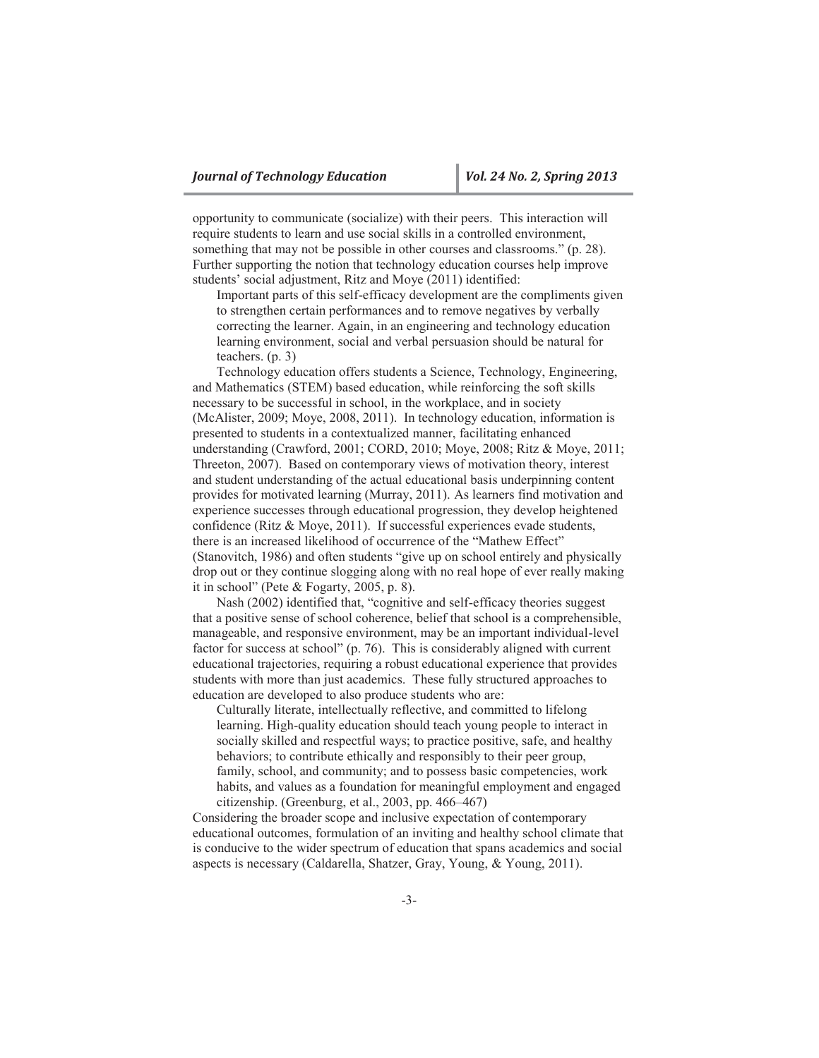opportunity to communicate (socialize) with their peers. This interaction will require students to learn and use social skills in a controlled environment, something that may not be possible in other courses and classrooms." (p. 28). Further supporting the notion that technology education courses help improve students' social adjustment, Ritz and Moye (2011) identified:

Important parts of this self-efficacy development are the compliments given to strengthen certain performances and to remove negatives by verbally correcting the learner. Again, in an engineering and technology education learning environment, social and verbal persuasion should be natural for teachers. (p. 3)

Technology education offers students a Science, Technology, Engineering, and Mathematics (STEM) based education, while reinforcing the soft skills necessary to be successful in school, in the workplace, and in society (McAlister, 2009; Moye, 2008, 2011). In technology education, information is presented to students in a contextualized manner, facilitating enhanced understanding (Crawford, 2001; CORD, 2010; Moye, 2008; Ritz & Moye, 2011; Threeton, 2007). Based on contemporary views of motivation theory, interest and student understanding of the actual educational basis underpinning content provides for motivated learning (Murray, 2011). As learners find motivation and experience successes through educational progression, they develop heightened confidence (Ritz & Moye, 2011). If successful experiences evade students, there is an increased likelihood of occurrence of the "Mathew Effect" (Stanovitch, 1986) and often students "give up on school entirely and physically drop out or they continue slogging along with no real hope of ever really making it in school" (Pete & Fogarty, 2005, p. 8).

Nash (2002) identified that, "cognitive and self-efficacy theories suggest that a positive sense of school coherence, belief that school is a comprehensible, manageable, and responsive environment, may be an important individual-level factor for success at school" (p. 76). This is considerably aligned with current educational trajectories, requiring a robust educational experience that provides students with more than just academics. These fully structured approaches to education are developed to also produce students who are:

Culturally literate, intellectually reflective, and committed to lifelong learning. High-quality education should teach young people to interact in socially skilled and respectful ways; to practice positive, safe, and healthy behaviors; to contribute ethically and responsibly to their peer group, family, school, and community; and to possess basic competencies, work habits, and values as a foundation for meaningful employment and engaged citizenship. (Greenburg, et al., 2003, pp. 466–467)

Considering the broader scope and inclusive expectation of contemporary educational outcomes, formulation of an inviting and healthy school climate that is conducive to the wider spectrum of education that spans academics and social aspects is necessary (Caldarella, Shatzer, Gray, Young, & Young, 2011).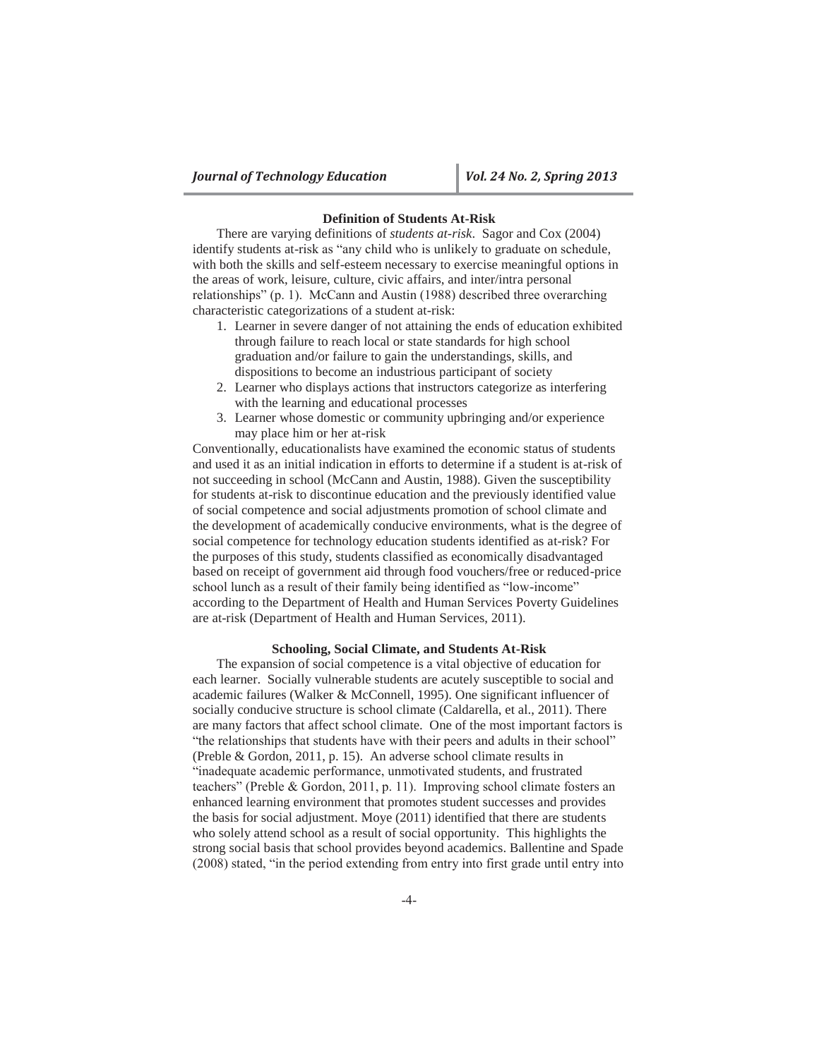# **Definition of Students At-Risk**

There are varying definitions of *students at-risk*. Sagor and Cox (2004) identify students at-risk as "any child who is unlikely to graduate on schedule, with both the skills and self-esteem necessary to exercise meaningful options in the areas of work, leisure, culture, civic affairs, and inter/intra personal relationships" (p. 1). McCann and Austin (1988) described three overarching characteristic categorizations of a student at-risk:

- 1. Learner in severe danger of not attaining the ends of education exhibited through failure to reach local or state standards for high school graduation and/or failure to gain the understandings, skills, and dispositions to become an industrious participant of society
- 2. Learner who displays actions that instructors categorize as interfering with the learning and educational processes
- 3. Learner whose domestic or community upbringing and/or experience may place him or her at-risk

Conventionally, educationalists have examined the economic status of students and used it as an initial indication in efforts to determine if a student is at-risk of not succeeding in school (McCann and Austin, 1988). Given the susceptibility for students at-risk to discontinue education and the previously identified value of social competence and social adjustments promotion of school climate and the development of academically conducive environments, what is the degree of social competence for technology education students identified as at-risk? For the purposes of this study, students classified as economically disadvantaged based on receipt of government aid through food vouchers/free or reduced-price school lunch as a result of their family being identified as "low-income" according to the Department of Health and Human Services Poverty Guidelines are at-risk (Department of Health and Human Services, 2011).

### **Schooling, Social Climate, and Students At-Risk**

The expansion of social competence is a vital objective of education for each learner. Socially vulnerable students are acutely susceptible to social and academic failures (Walker & McConnell, 1995). One significant influencer of socially conducive structure is school climate (Caldarella, et al., 2011). There are many factors that affect school climate. One of the most important factors is "the relationships that students have with their peers and adults in their school" (Preble & Gordon, 2011, p. 15). An adverse school climate results in "inadequate academic performance, unmotivated students, and frustrated teachers" (Preble & Gordon, 2011, p. 11). Improving school climate fosters an enhanced learning environment that promotes student successes and provides the basis for social adjustment. Moye (2011) identified that there are students who solely attend school as a result of social opportunity. This highlights the strong social basis that school provides beyond academics. Ballentine and Spade (2008) stated, "in the period extending from entry into first grade until entry into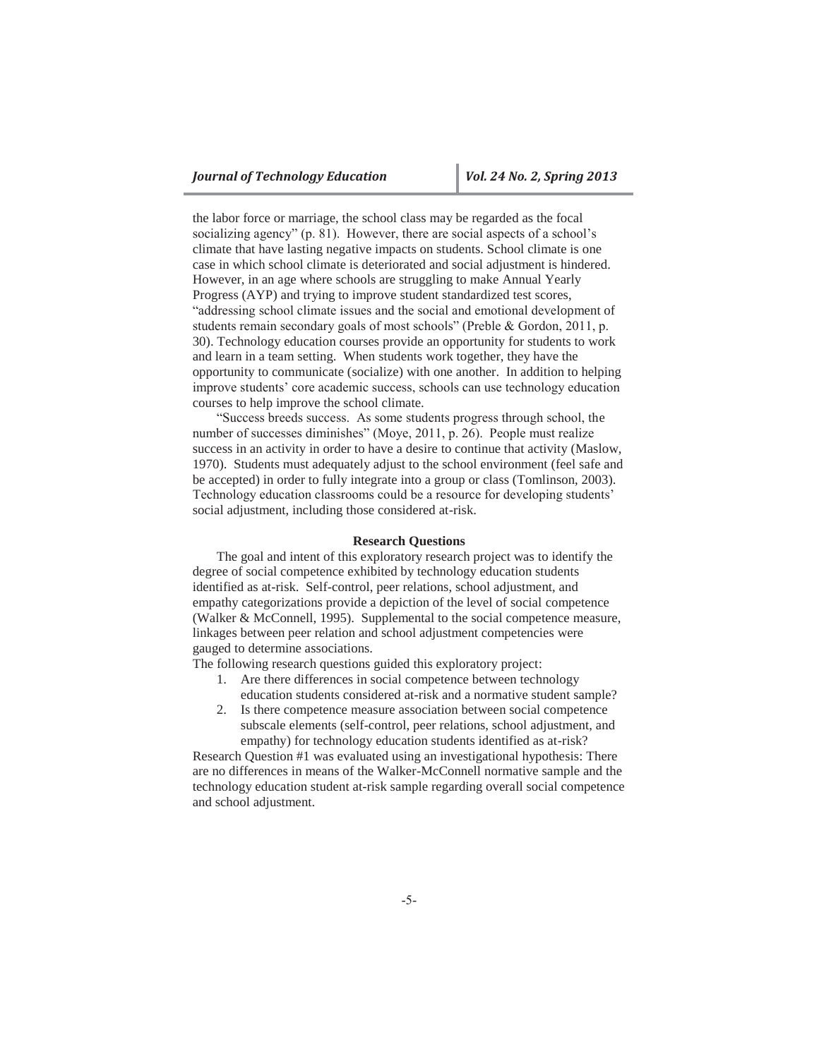the labor force or marriage, the school class may be regarded as the focal socializing agency" (p. 81). However, there are social aspects of a school's climate that have lasting negative impacts on students. School climate is one case in which school climate is deteriorated and social adjustment is hindered. However, in an age where schools are struggling to make Annual Yearly Progress (AYP) and trying to improve student standardized test scores, "addressing school climate issues and the social and emotional development of students remain secondary goals of most schools" (Preble & Gordon, 2011, p. 30). Technology education courses provide an opportunity for students to work and learn in a team setting. When students work together, they have the opportunity to communicate (socialize) with one another. In addition to helping improve students' core academic success, schools can use technology education courses to help improve the school climate.

"Success breeds success. As some students progress through school, the number of successes diminishes" (Moye, 2011, p. 26). People must realize success in an activity in order to have a desire to continue that activity (Maslow, 1970). Students must adequately adjust to the school environment (feel safe and be accepted) in order to fully integrate into a group or class (Tomlinson, 2003). Technology education classrooms could be a resource for developing students' social adjustment, including those considered at-risk.

# **Research Questions**

The goal and intent of this exploratory research project was to identify the degree of social competence exhibited by technology education students identified as at-risk. Self-control, peer relations, school adjustment, and empathy categorizations provide a depiction of the level of social competence (Walker & McConnell, 1995). Supplemental to the social competence measure, linkages between peer relation and school adjustment competencies were gauged to determine associations.

The following research questions guided this exploratory project:

- 1. Are there differences in social competence between technology education students considered at-risk and a normative student sample?
- 2. Is there competence measure association between social competence subscale elements (self-control, peer relations, school adjustment, and empathy) for technology education students identified as at-risk?

Research Question #1 was evaluated using an investigational hypothesis: There are no differences in means of the Walker-McConnell normative sample and the technology education student at-risk sample regarding overall social competence and school adjustment.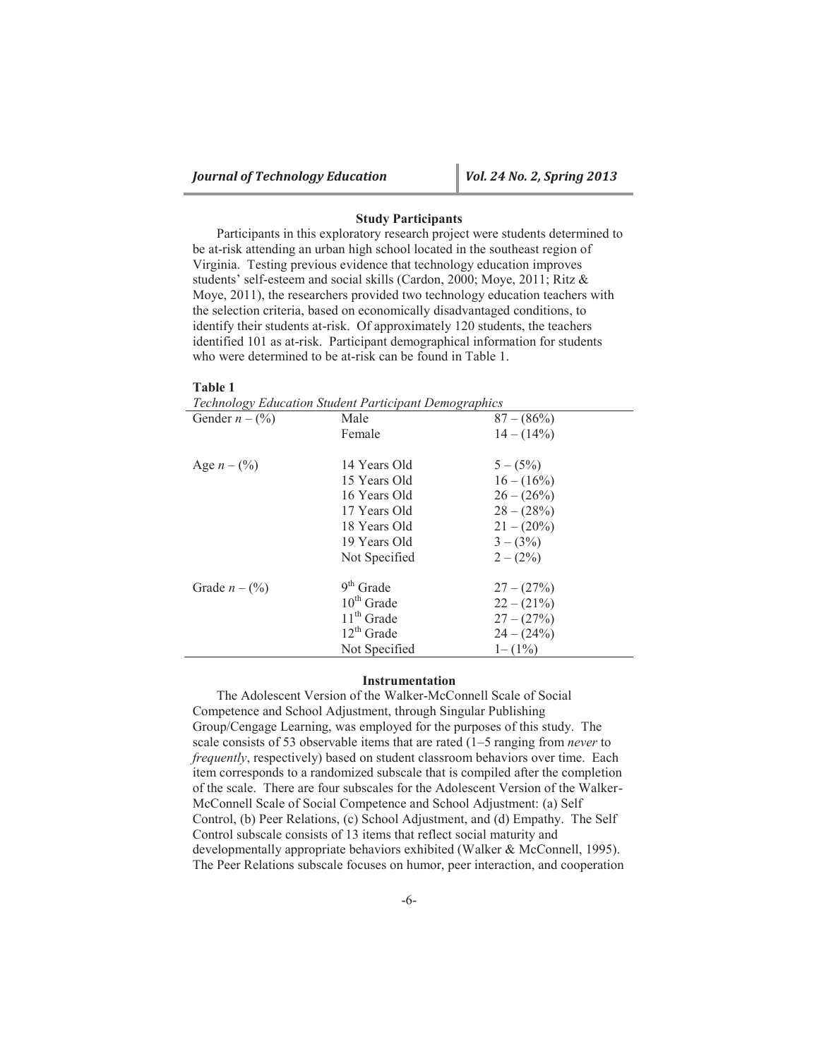# **Study Participants**

Participants in this exploratory research project were students determined to be at-risk attending an urban high school located in the southeast region of Virginia. Testing previous evidence that technology education improves students' self-esteem and social skills (Cardon, 2000; Moye, 2011; Ritz & Moye, 2011), the researchers provided two technology education teachers with the selection criteria, based on economically disadvantaged conditions, to identify their students at-risk. Of approximately 120 students, the teachers identified 101 as at-risk. Participant demographical information for students who were determined to be at-risk can be found in Table 1.

#### **Table 1**

*Technology Education Student Participant Demographics*

| Gender $n - (\frac{6}{6})$ | Male          | $87 - (86\%)$ |
|----------------------------|---------------|---------------|
|                            | Female        | $14 - (14\%)$ |
|                            |               |               |
| Age $n - (\frac{9}{6})$    | 14 Years Old  | $5-(5%)$      |
|                            | 15 Years Old  | $16 - (16\%)$ |
|                            | 16 Years Old  | $26 - (26\%)$ |
|                            | 17 Years Old  | $28 - (28\%)$ |
|                            | 18 Years Old  | $21 - (20\%)$ |
|                            | 19 Years Old  | $3-(3%)$      |
|                            | Not Specified | $2-(2%)$      |
| Grade $n - (\frac{9}{6})$  | $9th$ Grade   | $27 - (27\%)$ |
|                            | $10th$ Grade  | $22 - (21\%)$ |
|                            | $11th$ Grade  | $27 - (27\%)$ |
|                            | $12th$ Grade  | $24 - (24\%)$ |
|                            | Not Specified | $1 - (1\%)$   |

#### **Instrumentation**

The Adolescent Version of the Walker-McConnell Scale of Social Competence and School Adjustment, through Singular Publishing Group/Cengage Learning, was employed for the purposes of this study. The scale consists of 53 observable items that are rated (1–5 ranging from *never* to *frequently*, respectively) based on student classroom behaviors over time. Each item corresponds to a randomized subscale that is compiled after the completion of the scale. There are four subscales for the Adolescent Version of the Walker-McConnell Scale of Social Competence and School Adjustment: (a) Self Control, (b) Peer Relations, (c) School Adjustment, and (d) Empathy. The Self Control subscale consists of 13 items that reflect social maturity and developmentally appropriate behaviors exhibited (Walker & McConnell, 1995). The Peer Relations subscale focuses on humor, peer interaction, and cooperation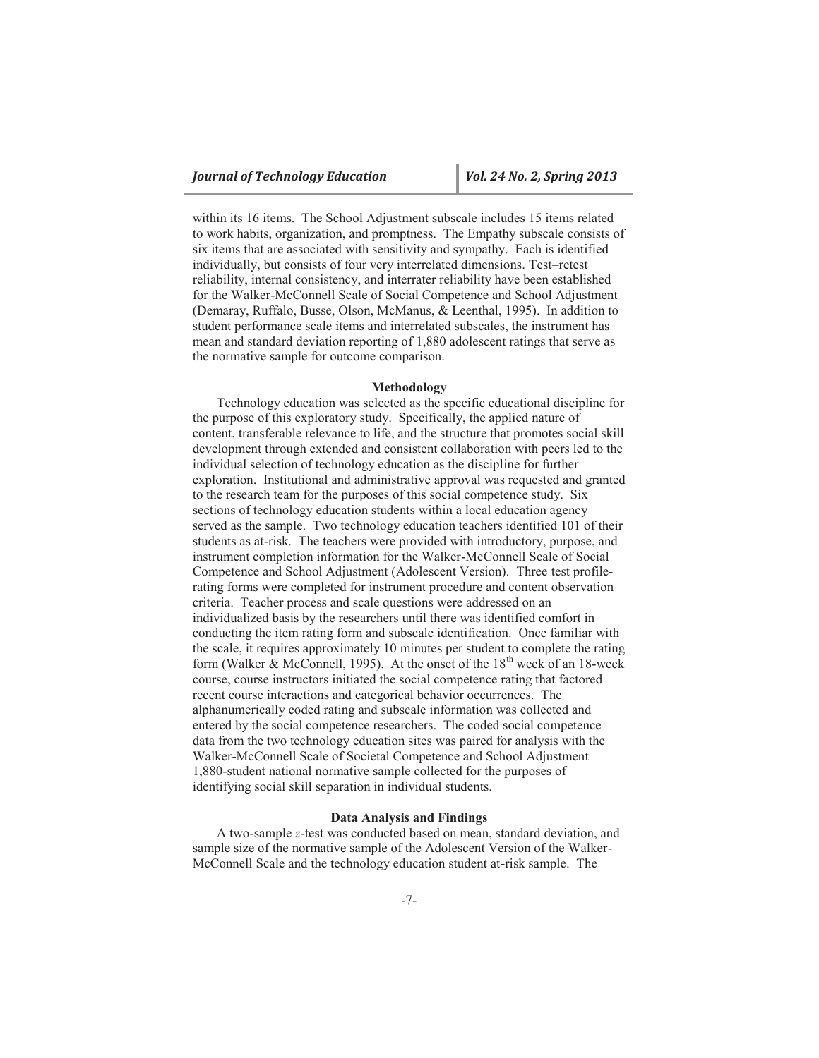within its 16 items. The School Adjustment subscale includes 15 items related to work habits, organization, and promptness. The Empathy subscale consists of six items that are associated with sensitivity and sympathy. Each is identified individually, but consists of four very interrelated dimensions. Test–retest reliability, internal consistency, and interrater reliability have been established for the Walker-McConnell Scale of Social Competence and School Adjustment (Demaray, Ruffalo, Busse, Olson, McManus, & Leenthal, 1995). In addition to student performance scale items and interrelated subscales, the instrument has mean and standard deviation reporting of 1,880 adolescent ratings that serve as the normative sample for outcome comparison.

#### **Methodology**

Technology education was selected as the specific educational discipline for the purpose of this exploratory study. Specifically, the applied nature of content, transferable relevance to life, and the structure that promotes social skill development through extended and consistent collaboration with peers led to the individual selection of technology education as the discipline for further exploration. Institutional and administrative approval was requested and granted to the research team for the purposes of this social competence study. Six sections of technology education students within a local education agency served as the sample. Two technology education teachers identified 101 of their students as at-risk. The teachers were provided with introductory, purpose, and instrument completion information for the Walker-McConnell Scale of Social Competence and School Adjustment (Adolescent Version). Three test profilerating forms were completed for instrument procedure and content observation criteria. Teacher process and scale questions were addressed on an individualized basis by the researchers until there was identified comfort in conducting the item rating form and subscale identification. Once familiar with the scale, it requires approximately 10 minutes per student to complete the rating form (Walker & McConnell, 1995). At the onset of the  $18<sup>th</sup>$  week of an 18-week course, course instructors initiated the social competence rating that factored recent course interactions and categorical behavior occurrences. The alphanumerically coded rating and subscale information was collected and entered by the social competence researchers. The coded social competence data from the two technology education sites was paired for analysis with the Walker-McConnell Scale of Societal Competence and School Adjustment 1,880-student national normative sample collected for the purposes of identifying social skill separation in individual students.

## **Data Analysis and Findings**

A two-sample *z*-test was conducted based on mean, standard deviation, and sample size of the normative sample of the Adolescent Version of the Walker-McConnell Scale and the technology education student at-risk sample. The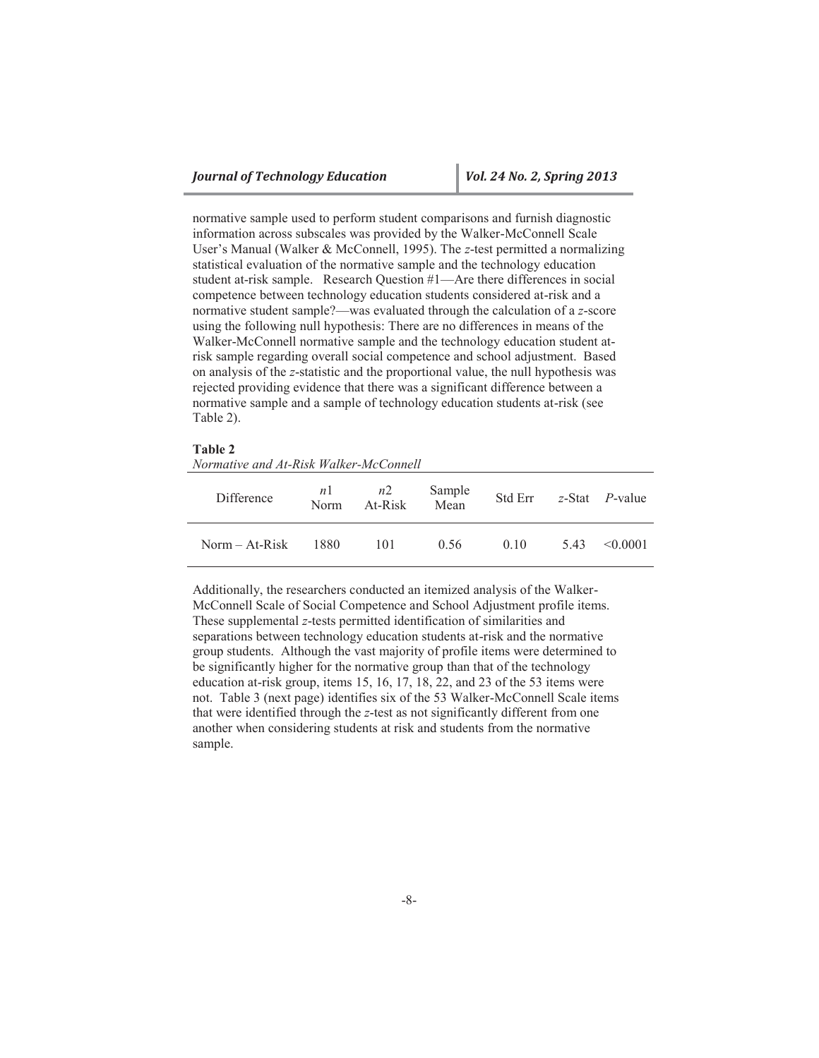normative sample used to perform student comparisons and furnish diagnostic information across subscales was provided by the Walker-McConnell Scale User's Manual (Walker & McConnell, 1995). The *z*-test permitted a normalizing statistical evaluation of the normative sample and the technology education student at-risk sample. Research Question #1—Are there differences in social competence between technology education students considered at-risk and a normative student sample?—was evaluated through the calculation of a *z*-score using the following null hypothesis: There are no differences in means of the Walker-McConnell normative sample and the technology education student atrisk sample regarding overall social competence and school adjustment. Based on analysis of the *z*-statistic and the proportional value, the null hypothesis was rejected providing evidence that there was a significant difference between a normative sample and a sample of technology education students at-risk (see Table 2).

## **Table 2**

*Normative and At-Risk Walker-McConnell*

| Difference     | n1<br>Norm | n2<br>At-Risk | Sample<br>Mean | Std Err |     | $z$ -Stat <i>P</i> -value |
|----------------|------------|---------------|----------------|---------|-----|---------------------------|
| Norm – At-Risk | 1880       | 101           | 0.56           | 010     | 543 | $\leq 0.0001$             |

Additionally, the researchers conducted an itemized analysis of the Walker-McConnell Scale of Social Competence and School Adjustment profile items. These supplemental *z*-tests permitted identification of similarities and separations between technology education students at-risk and the normative group students. Although the vast majority of profile items were determined to be significantly higher for the normative group than that of the technology education at-risk group, items 15, 16, 17, 18, 22, and 23 of the 53 items were not. Table 3 (next page) identifies six of the 53 Walker-McConnell Scale items that were identified through the *z*-test as not significantly different from one another when considering students at risk and students from the normative sample.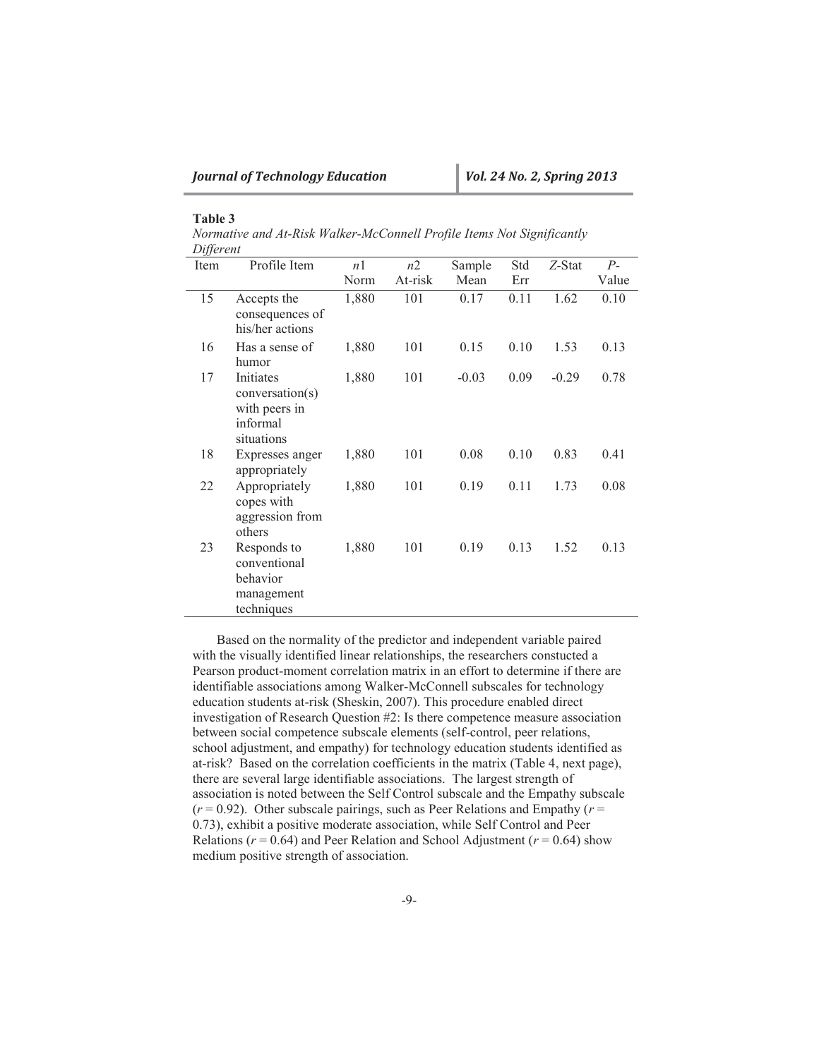# **Table 3**

| Normative and At-Risk Walker-McConnell Profile Items Not Significantly |  |  |
|------------------------------------------------------------------------|--|--|
| Different                                                              |  |  |

| Item | Profile Item                                                          | n1    | n2      | Sample  | Std  | Z-Stat  | $P-$  |
|------|-----------------------------------------------------------------------|-------|---------|---------|------|---------|-------|
|      |                                                                       | Norm  | At-risk | Mean    | Err  |         | Value |
| 15   | Accepts the<br>consequences of<br>his/her actions                     | 1,880 | 101     | 0.17    | 0.11 | 1.62    | 0.10  |
| 16   | Has a sense of<br>humor                                               | 1,880 | 101     | 0.15    | 0.10 | 1.53    | 0.13  |
| 17   | Initiates<br>conversion(s)<br>with peers in<br>informal<br>situations | 1,880 | 101     | $-0.03$ | 0.09 | $-0.29$ | 0.78  |
| 18   | Expresses anger<br>appropriately                                      | 1,880 | 101     | 0.08    | 0.10 | 0.83    | 0.41  |
| 22   | Appropriately<br>copes with<br>aggression from<br>others              | 1,880 | 101     | 0.19    | 0.11 | 1.73    | 0.08  |
| 23   | Responds to<br>conventional<br>behavior<br>management<br>techniques   | 1,880 | 101     | 0.19    | 0.13 | 1.52    | 0.13  |

Based on the normality of the predictor and independent variable paired with the visually identified linear relationships, the researchers constucted a Pearson product-moment correlation matrix in an effort to determine if there are identifiable associations among Walker-McConnell subscales for technology education students at-risk (Sheskin, 2007). This procedure enabled direct investigation of Research Question #2: Is there competence measure association between social competence subscale elements (self-control, peer relations, school adjustment, and empathy) for technology education students identified as at-risk? Based on the correlation coefficients in the matrix (Table 4, next page), there are several large identifiable associations. The largest strength of association is noted between the Self Control subscale and the Empathy subscale  $(r = 0.92)$ . Other subscale pairings, such as Peer Relations and Empathy  $(r = 0.92)$ . 0.73), exhibit a positive moderate association, while Self Control and Peer Relations ( $r = 0.64$ ) and Peer Relation and School Adjustment ( $r = 0.64$ ) show medium positive strength of association.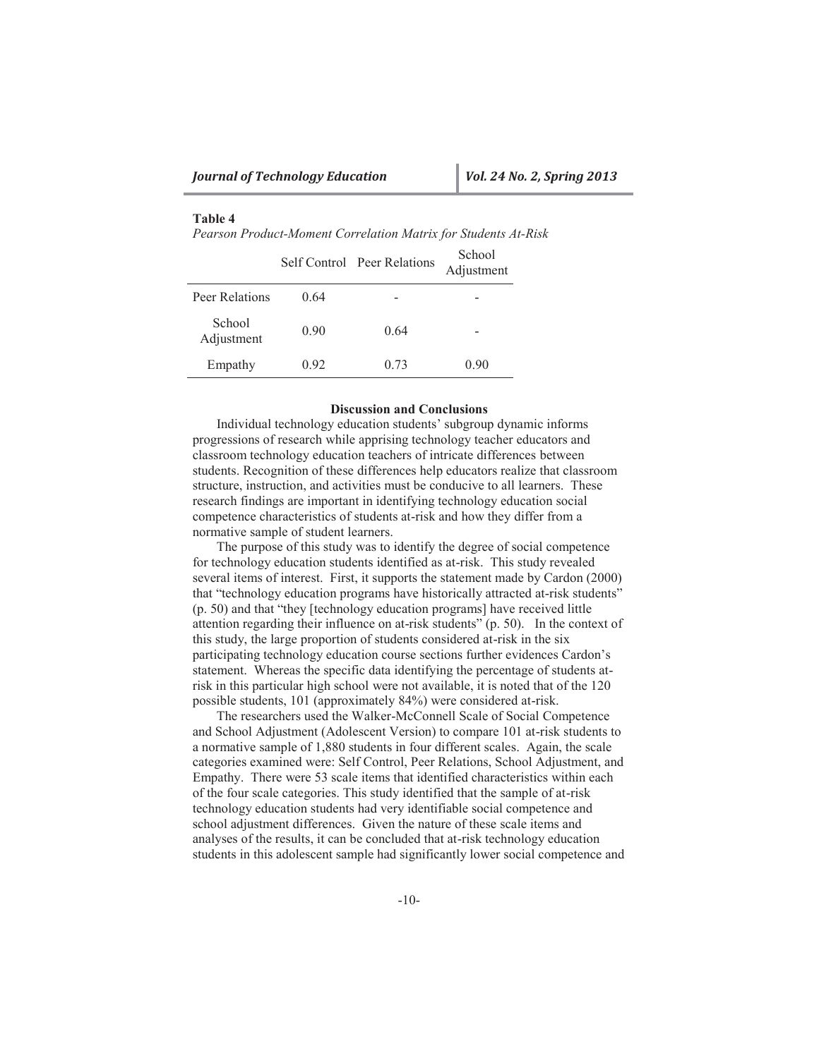# **Table 4**

*Pearson Product-Moment Correlation Matrix for Students At-Risk*

|                      |      | Self Control Peer Relations | School<br>Adjustment |
|----------------------|------|-----------------------------|----------------------|
| Peer Relations       | 0.64 |                             |                      |
| School<br>Adjustment | 0.90 | 0.64                        |                      |
| Empathy              | 0.92 | 0.73                        | 0.90                 |

#### **Discussion and Conclusions**

Individual technology education students' subgroup dynamic informs progressions of research while apprising technology teacher educators and classroom technology education teachers of intricate differences between students. Recognition of these differences help educators realize that classroom structure, instruction, and activities must be conducive to all learners. These research findings are important in identifying technology education social competence characteristics of students at-risk and how they differ from a normative sample of student learners.

The purpose of this study was to identify the degree of social competence for technology education students identified as at-risk. This study revealed several items of interest. First, it supports the statement made by Cardon (2000) that "technology education programs have historically attracted at-risk students" (p. 50) and that "they [technology education programs] have received little attention regarding their influence on at-risk students" (p. 50). In the context of this study, the large proportion of students considered at-risk in the six participating technology education course sections further evidences Cardon's statement. Whereas the specific data identifying the percentage of students atrisk in this particular high school were not available, it is noted that of the 120 possible students, 101 (approximately 84%) were considered at-risk.

The researchers used the Walker-McConnell Scale of Social Competence and School Adjustment (Adolescent Version) to compare 101 at-risk students to a normative sample of 1,880 students in four different scales. Again, the scale categories examined were: Self Control, Peer Relations, School Adjustment, and Empathy. There were 53 scale items that identified characteristics within each of the four scale categories. This study identified that the sample of at-risk technology education students had very identifiable social competence and school adjustment differences. Given the nature of these scale items and analyses of the results, it can be concluded that at-risk technology education students in this adolescent sample had significantly lower social competence and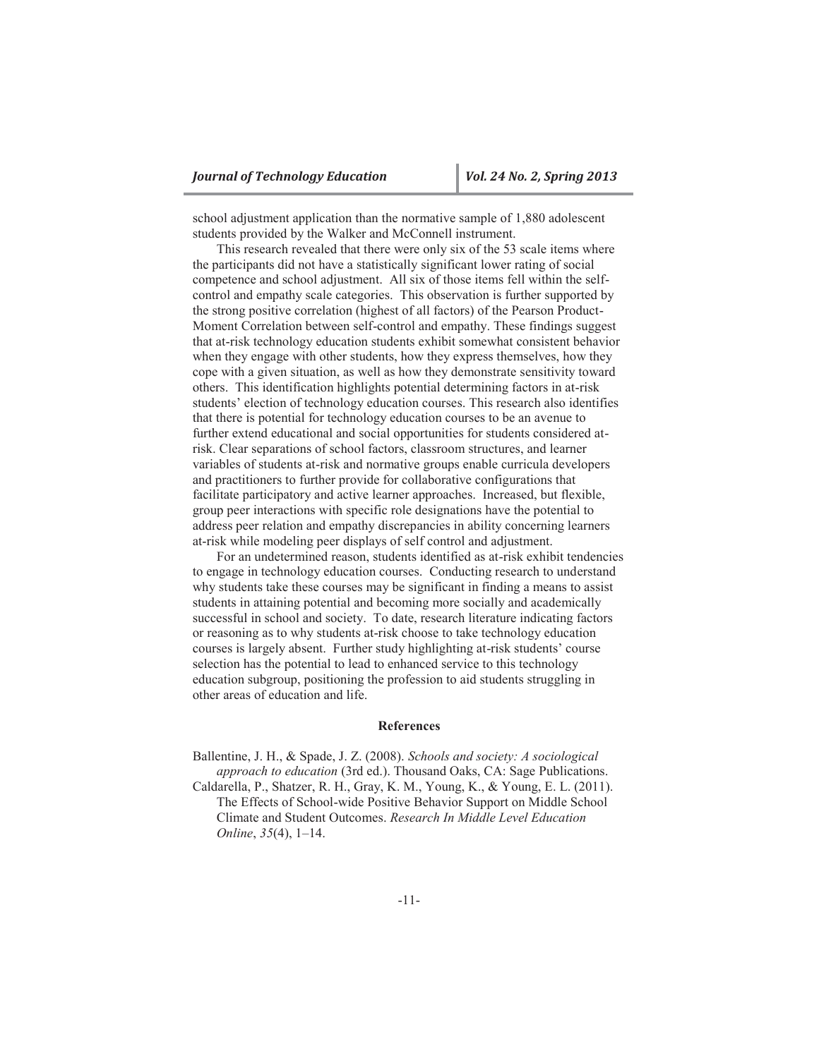school adjustment application than the normative sample of 1,880 adolescent students provided by the Walker and McConnell instrument.

This research revealed that there were only six of the 53 scale items where the participants did not have a statistically significant lower rating of social competence and school adjustment. All six of those items fell within the selfcontrol and empathy scale categories. This observation is further supported by the strong positive correlation (highest of all factors) of the Pearson Product-Moment Correlation between self-control and empathy. These findings suggest that at-risk technology education students exhibit somewhat consistent behavior when they engage with other students, how they express themselves, how they cope with a given situation, as well as how they demonstrate sensitivity toward others. This identification highlights potential determining factors in at-risk students' election of technology education courses. This research also identifies that there is potential for technology education courses to be an avenue to further extend educational and social opportunities for students considered atrisk. Clear separations of school factors, classroom structures, and learner variables of students at-risk and normative groups enable curricula developers and practitioners to further provide for collaborative configurations that facilitate participatory and active learner approaches. Increased, but flexible, group peer interactions with specific role designations have the potential to address peer relation and empathy discrepancies in ability concerning learners at-risk while modeling peer displays of self control and adjustment.

For an undetermined reason, students identified as at-risk exhibit tendencies to engage in technology education courses. Conducting research to understand why students take these courses may be significant in finding a means to assist students in attaining potential and becoming more socially and academically successful in school and society. To date, research literature indicating factors or reasoning as to why students at-risk choose to take technology education courses is largely absent. Further study highlighting at-risk students' course selection has the potential to lead to enhanced service to this technology education subgroup, positioning the profession to aid students struggling in other areas of education and life.

# **References**

Ballentine, J. H., & Spade, J. Z. (2008). *Schools and society: A sociological approach to education* (3rd ed.). Thousand Oaks, CA: Sage Publications. Caldarella, P., Shatzer, R. H., Gray, K. M., Young, K., & Young, E. L. (2011). The Effects of School-wide Positive Behavior Support on Middle School Climate and Student Outcomes. *Research In Middle Level Education Online*, *35*(4), 1–14.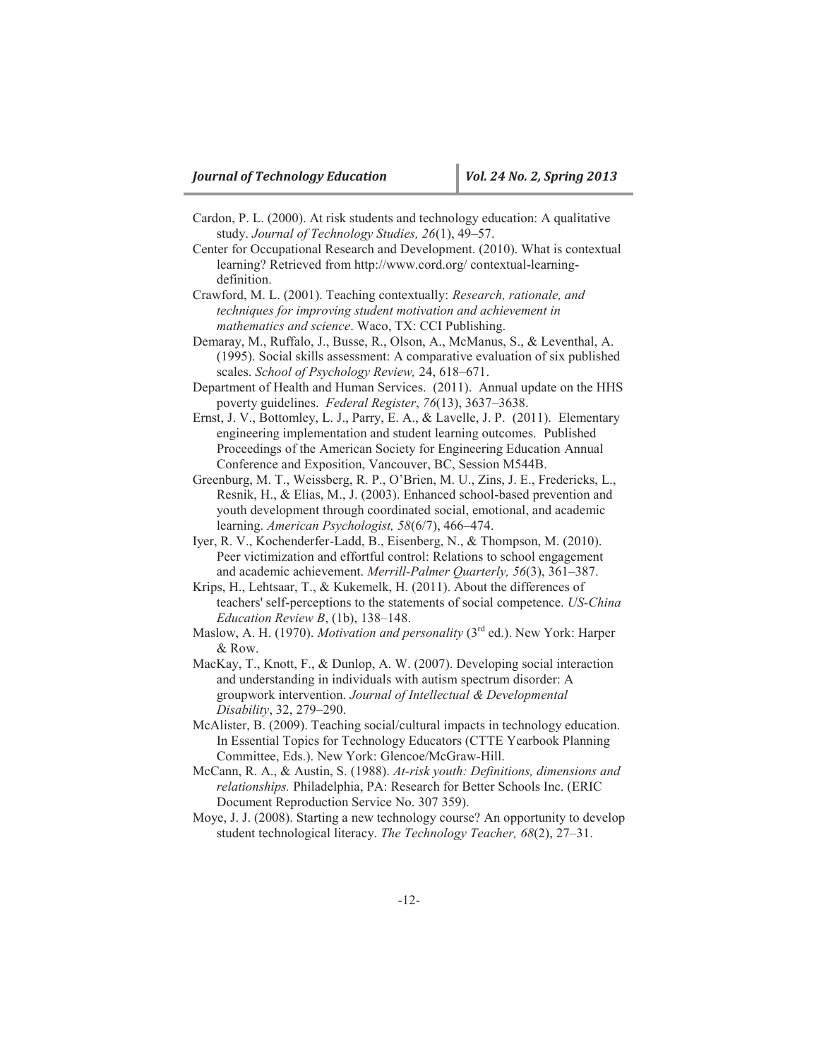- Cardon, P. L. (2000). At risk students and technology education: A qualitative study. *Journal of Technology Studies, 26*(1), 49–57.
- Center for Occupational Research and Development. (2010). What is contextual learning? Retrieved from http://www.cord.org/ contextual-learningdefinition.
- Crawford, M. L. (2001). Teaching contextually: *Research, rationale, and techniques for improving student motivation and achievement in mathematics and science*. Waco, TX: CCI Publishing.
- Demaray, M., Ruffalo, J., Busse, R., Olson, A., McManus, S., & Leventhal, A. (1995). Social skills assessment: A comparative evaluation of six published scales. *School of Psychology Review,* 24, 618–671.
- Department of Health and Human Services. (2011). Annual update on the HHS poverty guidelines. *Federal Register*, *76*(13), 3637–3638.
- Ernst, J. V., Bottomley, L. J., Parry, E. A., & Lavelle, J. P. (2011). Elementary engineering implementation and student learning outcomes. Published Proceedings of the American Society for Engineering Education Annual Conference and Exposition, Vancouver, BC, Session M544B.
- Greenburg, M. T., Weissberg, R. P., O'Brien, M. U., Zins, J. E., Fredericks, L., Resnik, H., & Elias, M., J. (2003). Enhanced school-based prevention and youth development through coordinated social, emotional, and academic learning. *American Psychologist, 58*(6/7), 466–474.
- Iyer, R. V., Kochenderfer-Ladd, B., Eisenberg, N., & Thompson, M. (2010). Peer victimization and effortful control: Relations to school engagement and academic achievement. *Merrill-Palmer Quarterly, 56*(3), 361–387.
- Krips, H., Lehtsaar, T., & Kukemelk, H. (2011). About the differences of teachers' self-perceptions to the statements of social competence. *US-China Education Review B*, (1b), 138–148.
- Maslow, A. H. (1970). *Motivation and personality* (3rd ed.). New York: Harper & Row.
- MacKay, T., Knott, F., & Dunlop, A. W. (2007). Developing social interaction and understanding in individuals with autism spectrum disorder: A groupwork intervention. *Journal of Intellectual & Developmental Disability*, 32, 279–290.
- McAlister, B. (2009). Teaching social/cultural impacts in technology education. In Essential Topics for Technology Educators (CTTE Yearbook Planning Committee, Eds.). New York: Glencoe/McGraw-Hill.
- McCann, R. A., & Austin, S. (1988). *At-risk youth: Definitions, dimensions and relationships.* Philadelphia, PA: Research for Better Schools Inc. (ERIC Document Reproduction Service No. 307 359).
- Moye, J. J. (2008). Starting a new technology course? An opportunity to develop student technological literacy. *The Technology Teacher, 68*(2), 27–31.